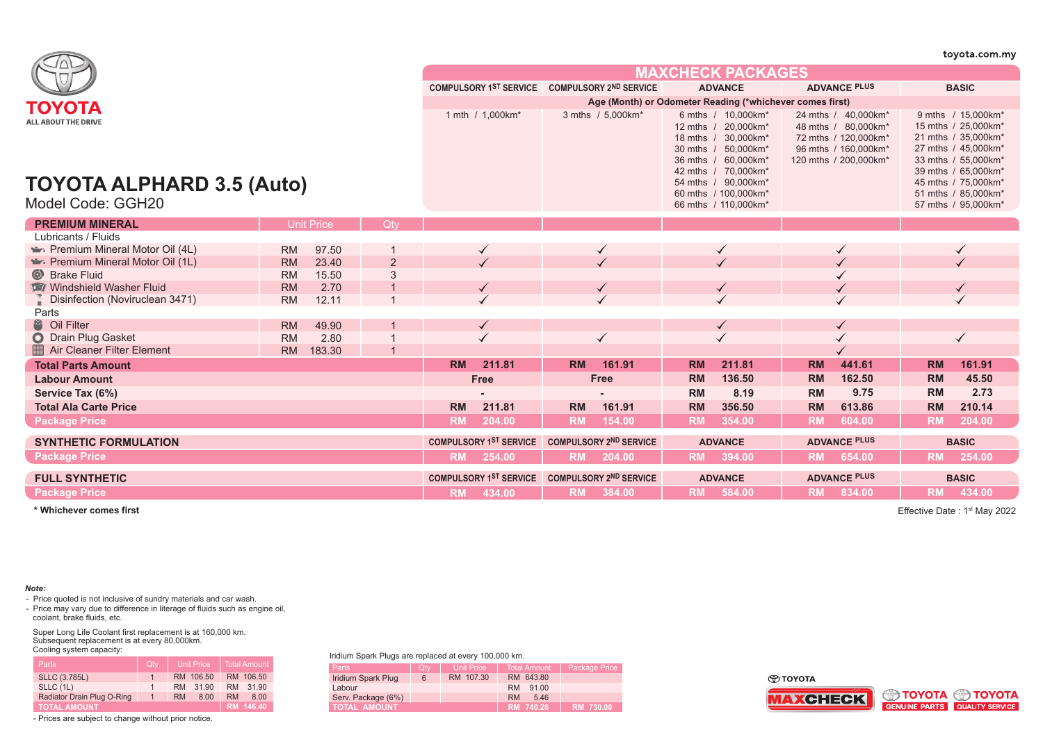|                           |                                                               |                                                                                          |                                     |                                                                                                                                                           |                                                                      |                                                                                                                                                                                                |                                                               |                                                                                                                                                                                                                                                                                                                                              |                                                                                           |                                                                                                                                                                                                                                                                                                      | toyota.com.my                                                                                                                                                                                              |
|---------------------------|---------------------------------------------------------------|------------------------------------------------------------------------------------------|-------------------------------------|-----------------------------------------------------------------------------------------------------------------------------------------------------------|----------------------------------------------------------------------|------------------------------------------------------------------------------------------------------------------------------------------------------------------------------------------------|---------------------------------------------------------------|----------------------------------------------------------------------------------------------------------------------------------------------------------------------------------------------------------------------------------------------------------------------------------------------------------------------------------------------|-------------------------------------------------------------------------------------------|------------------------------------------------------------------------------------------------------------------------------------------------------------------------------------------------------------------------------------------------------------------------------------------------------|------------------------------------------------------------------------------------------------------------------------------------------------------------------------------------------------------------|
|                           |                                                               |                                                                                          |                                     |                                                                                                                                                           |                                                                      |                                                                                                                                                                                                |                                                               |                                                                                                                                                                                                                                                                                                                                              |                                                                                           |                                                                                                                                                                                                                                                                                                      |                                                                                                                                                                                                            |
|                           |                                                               |                                                                                          |                                     |                                                                                                                                                           |                                                                      |                                                                                                                                                                                                |                                                               |                                                                                                                                                                                                                                                                                                                                              |                                                                                           |                                                                                                                                                                                                                                                                                                      | <b>BASIC</b>                                                                                                                                                                                               |
|                           |                                                               |                                                                                          |                                     |                                                                                                                                                           |                                                                      |                                                                                                                                                                                                |                                                               |                                                                                                                                                                                                                                                                                                                                              |                                                                                           |                                                                                                                                                                                                                                                                                                      |                                                                                                                                                                                                            |
| TOYOTA ALPHARD 3.5 (Auto) |                                                               |                                                                                          |                                     |                                                                                                                                                           |                                                                      |                                                                                                                                                                                                |                                                               |                                                                                                                                                                                                                                                                                                                                              |                                                                                           |                                                                                                                                                                                                                                                                                                      | 9 mths / 15,000km*<br>15 mths / 25,000km*<br>21 mths / 35,000km*<br>27 mths / 45,000km*<br>33 mths / 55,000km*<br>39 mths / 65,000km*<br>45 mths / 75,000km*<br>51 mths / 85,000km*<br>57 mths / 95,000km* |
|                           |                                                               | Otv                                                                                      |                                     |                                                                                                                                                           |                                                                      |                                                                                                                                                                                                |                                                               |                                                                                                                                                                                                                                                                                                                                              |                                                                                           |                                                                                                                                                                                                                                                                                                      |                                                                                                                                                                                                            |
|                           |                                                               |                                                                                          |                                     |                                                                                                                                                           |                                                                      |                                                                                                                                                                                                |                                                               |                                                                                                                                                                                                                                                                                                                                              |                                                                                           |                                                                                                                                                                                                                                                                                                      |                                                                                                                                                                                                            |
| <b>RM</b>                 |                                                               |                                                                                          | $\checkmark$                        |                                                                                                                                                           | $\checkmark$                                                         |                                                                                                                                                                                                |                                                               |                                                                                                                                                                                                                                                                                                                                              |                                                                                           |                                                                                                                                                                                                                                                                                                      |                                                                                                                                                                                                            |
| <b>RM</b>                 |                                                               | $\overline{2}$                                                                           |                                     |                                                                                                                                                           |                                                                      |                                                                                                                                                                                                |                                                               |                                                                                                                                                                                                                                                                                                                                              |                                                                                           |                                                                                                                                                                                                                                                                                                      |                                                                                                                                                                                                            |
| <b>RM</b>                 |                                                               | 3                                                                                        |                                     |                                                                                                                                                           |                                                                      |                                                                                                                                                                                                |                                                               |                                                                                                                                                                                                                                                                                                                                              |                                                                                           |                                                                                                                                                                                                                                                                                                      |                                                                                                                                                                                                            |
|                           |                                                               |                                                                                          |                                     |                                                                                                                                                           |                                                                      |                                                                                                                                                                                                |                                                               |                                                                                                                                                                                                                                                                                                                                              |                                                                                           |                                                                                                                                                                                                                                                                                                      |                                                                                                                                                                                                            |
|                           |                                                               |                                                                                          |                                     |                                                                                                                                                           |                                                                      |                                                                                                                                                                                                |                                                               |                                                                                                                                                                                                                                                                                                                                              |                                                                                           |                                                                                                                                                                                                                                                                                                      |                                                                                                                                                                                                            |
|                           |                                                               |                                                                                          |                                     |                                                                                                                                                           |                                                                      |                                                                                                                                                                                                |                                                               |                                                                                                                                                                                                                                                                                                                                              |                                                                                           |                                                                                                                                                                                                                                                                                                      |                                                                                                                                                                                                            |
|                           |                                                               |                                                                                          |                                     |                                                                                                                                                           |                                                                      |                                                                                                                                                                                                |                                                               |                                                                                                                                                                                                                                                                                                                                              |                                                                                           |                                                                                                                                                                                                                                                                                                      |                                                                                                                                                                                                            |
|                           |                                                               |                                                                                          |                                     |                                                                                                                                                           |                                                                      |                                                                                                                                                                                                |                                                               |                                                                                                                                                                                                                                                                                                                                              |                                                                                           |                                                                                                                                                                                                                                                                                                      |                                                                                                                                                                                                            |
|                           |                                                               |                                                                                          |                                     |                                                                                                                                                           |                                                                      |                                                                                                                                                                                                |                                                               |                                                                                                                                                                                                                                                                                                                                              |                                                                                           |                                                                                                                                                                                                                                                                                                      | 161.91                                                                                                                                                                                                     |
|                           |                                                               |                                                                                          |                                     |                                                                                                                                                           |                                                                      |                                                                                                                                                                                                |                                                               |                                                                                                                                                                                                                                                                                                                                              |                                                                                           |                                                                                                                                                                                                                                                                                                      | 45.50                                                                                                                                                                                                      |
|                           |                                                               |                                                                                          |                                     |                                                                                                                                                           |                                                                      |                                                                                                                                                                                                |                                                               |                                                                                                                                                                                                                                                                                                                                              |                                                                                           |                                                                                                                                                                                                                                                                                                      | 2.73                                                                                                                                                                                                       |
|                           |                                                               |                                                                                          |                                     |                                                                                                                                                           |                                                                      |                                                                                                                                                                                                |                                                               |                                                                                                                                                                                                                                                                                                                                              |                                                                                           |                                                                                                                                                                                                                                                                                                      | 210.14                                                                                                                                                                                                     |
|                           |                                                               |                                                                                          |                                     |                                                                                                                                                           |                                                                      |                                                                                                                                                                                                |                                                               |                                                                                                                                                                                                                                                                                                                                              |                                                                                           |                                                                                                                                                                                                                                                                                                      |                                                                                                                                                                                                            |
|                           |                                                               |                                                                                          |                                     |                                                                                                                                                           |                                                                      |                                                                                                                                                                                                |                                                               |                                                                                                                                                                                                                                                                                                                                              |                                                                                           |                                                                                                                                                                                                                                                                                                      | 204.00                                                                                                                                                                                                     |
|                           |                                                               |                                                                                          |                                     |                                                                                                                                                           |                                                                      |                                                                                                                                                                                                |                                                               |                                                                                                                                                                                                                                                                                                                                              |                                                                                           |                                                                                                                                                                                                                                                                                                      | <b>BASIC</b>                                                                                                                                                                                               |
|                           |                                                               |                                                                                          |                                     | <b>RM</b>                                                                                                                                                 | 204.00                                                               |                                                                                                                                                                                                | 394.00                                                        | <b>RM</b>                                                                                                                                                                                                                                                                                                                                    | 654.00                                                                                    | <b>RM</b>                                                                                                                                                                                                                                                                                            | 254.00                                                                                                                                                                                                     |
|                           |                                                               |                                                                                          |                                     |                                                                                                                                                           |                                                                      |                                                                                                                                                                                                |                                                               |                                                                                                                                                                                                                                                                                                                                              |                                                                                           |                                                                                                                                                                                                                                                                                                      | <b>BASIC</b>                                                                                                                                                                                               |
|                           |                                                               |                                                                                          |                                     |                                                                                                                                                           |                                                                      |                                                                                                                                                                                                |                                                               | <b>RM</b>                                                                                                                                                                                                                                                                                                                                    | 834.00                                                                                    | <b>RM</b>                                                                                                                                                                                                                                                                                            | 434.00                                                                                                                                                                                                     |
|                           | <b>RM</b><br><b>RM</b><br><b>RM</b><br><b>RM</b><br><b>RM</b> | <b>Unit Price</b><br>97.50<br>23.40<br>15.50<br>2.70<br>12.11<br>49.90<br>2.80<br>183.30 | <b>RM</b><br><b>RM</b><br><b>RM</b> | 1 mth / 1,000km*<br>211.81<br><b>Free</b><br>211.81<br>204.00<br><b>COMPULSORY 1ST SERVICE</b><br>RM 254.00<br><b>COMPULSORY 1ST SERVICE</b><br>RM 434.00 | <b>COMPULSORY 1ST SERVICE</b><br><b>RM</b><br><b>RM</b><br><b>RM</b> | <b>COMPULSORY 2ND SERVICE</b><br>3 mths / 5,000km*<br>$\checkmark$<br>161.91<br><b>Free</b><br>161.91<br>154.00<br><b>COMPULSORY 2ND SERVICE</b><br><b>COMPULSORY 2ND SERVICE</b><br>RM 384.00 | <b>RM</b><br><b>RM</b><br><b>RM</b><br><b>RM</b><br><b>RM</b> | <b>ADVANCE</b><br>6 mths / 10,000km*<br>12 mths / 20,000km*<br>18 mths / 30,000km*<br>30 mths / 50,000km*<br>36 mths / 60,000km*<br>42 mths / 70,000km*<br>54 mths / 90,000km*<br>60 mths / 100,000km*<br>66 mths / 110,000km*<br>211.81<br>136.50<br>8.19<br>356.50<br>354.00<br><b>ADVANCE</b><br><b>RM</b><br><b>ADVANCE</b><br>RM 584.00 | <b>MAXCHECK PACKAGES</b><br><b>RM</b><br><b>RM</b><br><b>RM</b><br><b>RM</b><br><b>RM</b> | <b>ADVANCE PLUS</b><br>Age (Month) or Odometer Reading (*whichever comes first)<br>24 mths / 40,000km*<br>48 mths / 80,000km*<br>72 mths / 120,000km*<br>96 mths / 160,000km*<br>120 mths / 200,000km*<br>441.61<br>162.50<br>9.75<br>613.86<br>604.00<br><b>ADVANCE PLUS</b><br><b>ADVANCE PLUS</b> | <b>RM</b><br><b>RM</b><br><b>RM</b><br><b>RM</b><br><b>RM</b>                                                                                                                                              |

**\* Whichever comes first**

Effective Date: 1<sup>st</sup> May 2022

*Note:*

- Price quoted is not inclusive of sundry materials and car wash.<br>- Price may vary due to difference in literage of fluids such as engine oil, coolant, brake fluids, etc.

Super Long Life Coolant first replacement is at 160,000 km. Subsequent replacement is at every 80,000km. Cooling system capacity:

| <b>Parts</b>               | Qtv          | เ Unit Price '    | <b>Total Amount</b> |
|----------------------------|--------------|-------------------|---------------------|
| <b>SLLC (3.785L)</b>       | $\mathbf{1}$ | RM 106.50         | RM 106.50           |
| SLLC (1L)                  | 1            | 31.90<br>RM.      | 31.90<br><b>RM</b>  |
| Radiator Drain Plug O-Ring | $\sim$       | 8.00<br><b>RM</b> | <b>RM</b><br>8.00   |
| <b>TOTAL AMOUNT</b>        |              |                   | RM 146.40           |

- Prices are subject to change without prior notice.

Iridium Spark Plugs are replaced at every 100,000 km.

| mulum Opain Figgs are replaced at every 100,000 mm. |     |                   |                     |                      |  |  |  |
|-----------------------------------------------------|-----|-------------------|---------------------|----------------------|--|--|--|
| <b>Parts</b>                                        | Qty | <b>Unit Price</b> | <b>Total Amount</b> | <b>Package Price</b> |  |  |  |
| Iridium Spark Plug                                  | 6   | RM 107.30         | RM 643.80           |                      |  |  |  |
| Labour                                              |     |                   | <b>RM</b><br>91.00  |                      |  |  |  |
| Serv. Package (6%)                                  |     |                   | <b>RM</b><br>5.46   |                      |  |  |  |
| <b>TOTAL AMOUNT</b>                                 |     |                   | RM 740.26           | <b>RM 730.00</b>     |  |  |  |

**O TOYOTA** 



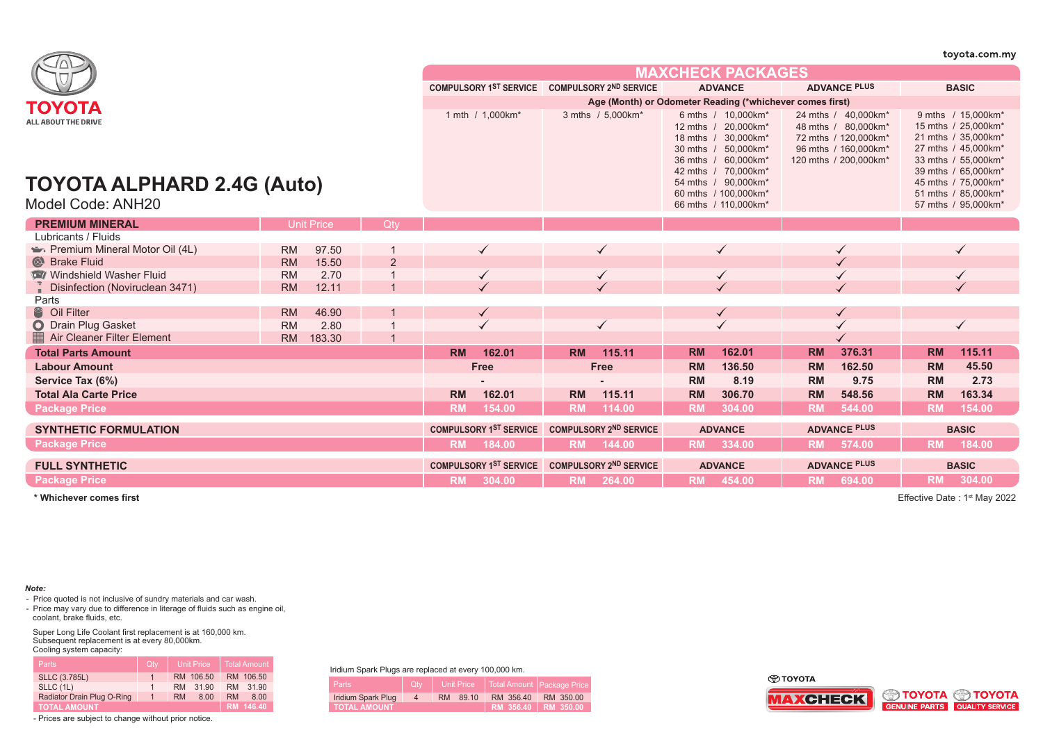|                                                                        |                     |   |           |                               |           |                                                          |           |                                                                                                                                                                                                              |           |                                                                                                                     |           | toyota.com.my                                                                                                                                                                                              |
|------------------------------------------------------------------------|---------------------|---|-----------|-------------------------------|-----------|----------------------------------------------------------|-----------|--------------------------------------------------------------------------------------------------------------------------------------------------------------------------------------------------------------|-----------|---------------------------------------------------------------------------------------------------------------------|-----------|------------------------------------------------------------------------------------------------------------------------------------------------------------------------------------------------------------|
|                                                                        |                     |   |           |                               |           |                                                          |           | <b>MAXCHECK PACKAGES</b>                                                                                                                                                                                     |           |                                                                                                                     |           |                                                                                                                                                                                                            |
|                                                                        |                     |   |           | <b>COMPULSORY 1ST SERVICE</b> |           | <b>COMPULSORY 2ND SERVICE</b>                            |           | <b>ADVANCE</b>                                                                                                                                                                                               |           | <b>ADVANCE PLUS</b>                                                                                                 |           | <b>BASIC</b>                                                                                                                                                                                               |
| ΤΟΥΟΤΑ                                                                 |                     |   |           |                               |           | Age (Month) or Odometer Reading (*whichever comes first) |           |                                                                                                                                                                                                              |           |                                                                                                                     |           |                                                                                                                                                                                                            |
| ALL ABOUT THE DRIVE<br>TOYOTA ALPHARD 2.4G (Auto)<br>Model Code: ANH20 |                     |   |           | 1 mth / 1,000km*              |           | 3 mths / 5,000km*                                        |           | 6 mths / 10,000km*<br>12 mths / 20,000km*<br>18 mths / 30,000km*<br>30 mths / 50,000km*<br>36 mths / 60,000km*<br>42 mths / 70,000km*<br>54 mths / 90,000km*<br>60 mths / 100,000km*<br>66 mths / 110,000km* |           | 24 mths / 40,000km*<br>48 mths / 80,000km*<br>72 mths / 120,000km*<br>96 mths / 160,000km*<br>120 mths / 200,000km* |           | 9 mths / 15,000km*<br>15 mths / 25,000km*<br>21 mths / 35,000km*<br>27 mths / 45,000km*<br>33 mths / 55,000km*<br>39 mths / 65,000km*<br>45 mths / 75,000km*<br>51 mths / 85,000km*<br>57 mths / 95,000km* |
| <b>PREMIUM MINERAL</b>                                                 | <b>Unit Price</b>   |   |           |                               |           |                                                          |           |                                                                                                                                                                                                              |           |                                                                                                                     |           |                                                                                                                                                                                                            |
| Lubricants / Fluids                                                    |                     |   |           |                               |           |                                                          |           |                                                                                                                                                                                                              |           |                                                                                                                     |           |                                                                                                                                                                                                            |
| Premium Mineral Motor Oil (4L)                                         | 97.50<br><b>RM</b>  |   |           | $\checkmark$                  |           | $\checkmark$                                             |           | $\checkmark$                                                                                                                                                                                                 |           |                                                                                                                     |           | ✓                                                                                                                                                                                                          |
| Strake Fluid                                                           | 15.50<br><b>RM</b>  | 2 |           |                               |           |                                                          |           |                                                                                                                                                                                                              |           |                                                                                                                     |           |                                                                                                                                                                                                            |
| Windshield Washer Fluid                                                | <b>RM</b><br>2.70   |   |           |                               |           |                                                          |           |                                                                                                                                                                                                              |           |                                                                                                                     |           |                                                                                                                                                                                                            |
| Disinfection (Noviruclean 3471)                                        | 12.11<br><b>RM</b>  |   |           |                               |           |                                                          |           |                                                                                                                                                                                                              |           |                                                                                                                     |           |                                                                                                                                                                                                            |
| Parts                                                                  |                     |   |           |                               |           |                                                          |           |                                                                                                                                                                                                              |           |                                                                                                                     |           |                                                                                                                                                                                                            |
| <sup>8</sup> Oil Filter                                                | 46.90<br><b>RM</b>  |   |           | ✓                             |           |                                                          |           | $\checkmark$                                                                                                                                                                                                 |           |                                                                                                                     |           |                                                                                                                                                                                                            |
| O Drain Plug Gasket                                                    | 2.80<br><b>RM</b>   |   |           |                               |           |                                                          |           |                                                                                                                                                                                                              |           |                                                                                                                     |           |                                                                                                                                                                                                            |
| Air Cleaner Filter Element                                             | <b>RM</b><br>183.30 |   |           |                               |           |                                                          |           |                                                                                                                                                                                                              |           |                                                                                                                     |           |                                                                                                                                                                                                            |
| <b>Total Parts Amount</b>                                              |                     |   | <b>RM</b> | 162.01                        | <b>RM</b> | 115.11                                                   | <b>RM</b> | 162.01                                                                                                                                                                                                       | <b>RM</b> | 376.31                                                                                                              | <b>RM</b> | 115.11                                                                                                                                                                                                     |
| <b>Labour Amount</b>                                                   |                     |   |           | <b>Free</b>                   |           | Free                                                     | <b>RM</b> | 136.50                                                                                                                                                                                                       | <b>RM</b> | 162.50                                                                                                              | <b>RM</b> | 45.50                                                                                                                                                                                                      |
| Service Tax (6%)                                                       |                     |   |           |                               |           |                                                          | <b>RM</b> | 8.19                                                                                                                                                                                                         | <b>RM</b> | 9.75                                                                                                                | <b>RM</b> | 2.73                                                                                                                                                                                                       |
| <b>Total Ala Carte Price</b>                                           |                     |   | <b>RM</b> | 162.01                        | <b>RM</b> | 115.11                                                   | <b>RM</b> | 306.70                                                                                                                                                                                                       | <b>RM</b> | 548.56                                                                                                              | <b>RM</b> | 163.34                                                                                                                                                                                                     |
| <b>Package Price</b>                                                   |                     |   | <b>RM</b> | 154.00                        | <b>RM</b> | 114.00                                                   | <b>RM</b> | 304.00                                                                                                                                                                                                       | <b>RM</b> | 544.00                                                                                                              | <b>RM</b> | 154.00                                                                                                                                                                                                     |
| <b>SYNTHETIC FORMULATION</b>                                           |                     |   |           | <b>COMPULSORY 1ST SERVICE</b> |           | <b>COMPULSORY 2ND SERVICE</b>                            |           | <b>ADVANCE</b>                                                                                                                                                                                               |           | <b>ADVANCE PLUS</b>                                                                                                 |           | <b>BASIC</b>                                                                                                                                                                                               |
| <b>Package Price</b>                                                   |                     |   | <b>RM</b> | 184.00                        | <b>RM</b> | 144.00                                                   |           | RM 334.00                                                                                                                                                                                                    | <b>RM</b> | 574.00                                                                                                              | <b>RM</b> | 184.00                                                                                                                                                                                                     |
| <b>FULL SYNTHETIC</b>                                                  |                     |   |           | <b>COMPULSORY 1ST SERVICE</b> |           | <b>COMPULSORY 2ND SERVICE</b>                            |           | <b>ADVANCE</b>                                                                                                                                                                                               |           | <b>ADVANCE PLUS</b>                                                                                                 |           | <b>BASIC</b>                                                                                                                                                                                               |
| <b>Package Price</b>                                                   |                     |   |           | RM 304.00                     |           | RM 264.00                                                |           | RM 454.00                                                                                                                                                                                                    |           | RM 694.00                                                                                                           |           | RM 304.00                                                                                                                                                                                                  |

**\* Whichever comes first**

Effective Date: 1<sup>st</sup> May 2022

## *Note:*

- Price quoted is not inclusive of sundry materials and car wash.<br>- Price may vary due to difference in literage of fluids such as engine oil, coolant, brake fluids, etc.

Super Long Life Coolant first replacement is at 160,000 km. Subsequent replacement is at every 80,000km. Cooling system capacity:

| <b>Parts</b>               | Qtv            | <b>Unit Price</b> | <b>Total Amount</b> |
|----------------------------|----------------|-------------------|---------------------|
| <b>SLLC (3.785L)</b>       | $\mathbf{1}$   | RM 106.50         | RM 106.50           |
| SLLC (1L)                  | 1.             | 31 90<br>RM.      | 31.90<br>RM.        |
| Radiator Drain Plug O-Ring | $\overline{1}$ | RM<br>8.00        | <b>RM</b><br>8.00   |
| <b>TOTAL AMOUNT</b>        |                |                   | RM 146.40           |

- Prices are subject to change without prior notice.

Iridium Spark Plugs are replaced at every 100,000 km.

| maiam Opam Hago are replaced at every 100,000 mm. |          |          |                                           |           |  |  |  |  |
|---------------------------------------------------|----------|----------|-------------------------------------------|-----------|--|--|--|--|
| Parts A                                           | $-1$ Qty |          | Unit Price   Total Amount   Package Price |           |  |  |  |  |
| Iridium Spark Plug                                | 4        | RM 89.10 | RM 356.40                                 | RM 350.00 |  |  |  |  |
| <b>TOTAL AMOUNT</b>                               |          |          | RM 356.40 RM 350.00                       |           |  |  |  |  |

**O TOYOTA**